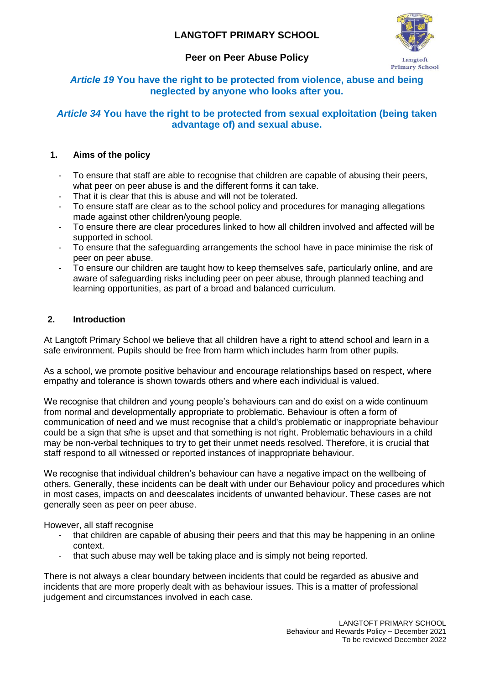# **LANGTOFT PRIMARY SCHOOL**



# **Peer on Peer Abuse Policy**

## *Article 19* **You have the right to be protected from violence, abuse and being neglected by anyone who looks after you.**

# *Article 34* **You have the right to be protected from sexual exploitation (being taken advantage of) and sexual abuse.**

## **1. Aims of the policy**

- To ensure that staff are able to recognise that children are capable of abusing their peers, what peer on peer abuse is and the different forms it can take.
- That it is clear that this is abuse and will not be tolerated.
- To ensure staff are clear as to the school policy and procedures for managing allegations made against other children/young people.
- To ensure there are clear procedures linked to how all children involved and affected will be supported in school.
- To ensure that the safeguarding arrangements the school have in pace minimise the risk of peer on peer abuse.
- To ensure our children are taught how to keep themselves safe, particularly online, and are aware of safeguarding risks including peer on peer abuse, through planned teaching and learning opportunities, as part of a broad and balanced curriculum.

## **2. Introduction**

At Langtoft Primary School we believe that all children have a right to attend school and learn in a safe environment. Pupils should be free from harm which includes harm from other pupils.

As a school, we promote positive behaviour and encourage relationships based on respect, where empathy and tolerance is shown towards others and where each individual is valued.

We recognise that children and young people's behaviours can and do exist on a wide continuum from normal and developmentally appropriate to problematic. Behaviour is often a form of communication of need and we must recognise that a child's problematic or inappropriate behaviour could be a sign that s/he is upset and that something is not right. Problematic behaviours in a child may be non-verbal techniques to try to get their unmet needs resolved. Therefore, it is crucial that staff respond to all witnessed or reported instances of inappropriate behaviour.

We recognise that individual children's behaviour can have a negative impact on the wellbeing of others. Generally, these incidents can be dealt with under our Behaviour policy and procedures which in most cases, impacts on and deescalates incidents of unwanted behaviour. These cases are not generally seen as peer on peer abuse.

However, all staff recognise

- that children are capable of abusing their peers and that this may be happening in an online context.
- that such abuse may well be taking place and is simply not being reported.

There is not always a clear boundary between incidents that could be regarded as abusive and incidents that are more properly dealt with as behaviour issues. This is a matter of professional judgement and circumstances involved in each case.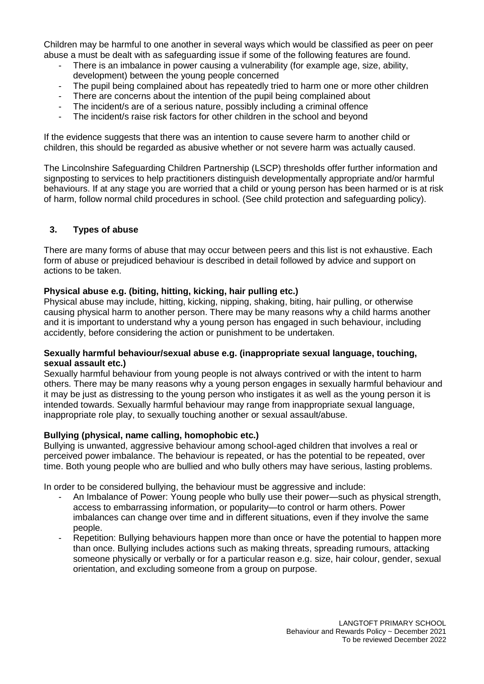Children may be harmful to one another in several ways which would be classified as peer on peer abuse a must be dealt with as safeguarding issue if some of the following features are found.

- There is an imbalance in power causing a vulnerability (for example age, size, ability, development) between the young people concerned
- The pupil being complained about has repeatedly tried to harm one or more other children
- There are concerns about the intention of the pupil being complained about
- The incident/s are of a serious nature, possibly including a criminal offence
- The incident/s raise risk factors for other children in the school and beyond

If the evidence suggests that there was an intention to cause severe harm to another child or children, this should be regarded as abusive whether or not severe harm was actually caused.

The Lincolnshire Safeguarding Children Partnership (LSCP) thresholds offer further information and signposting to services to help practitioners distinguish developmentally appropriate and/or harmful behaviours. If at any stage you are worried that a child or young person has been harmed or is at risk of harm, follow normal child procedures in school. (See child protection and safeguarding policy).

## **3. Types of abuse**

There are many forms of abuse that may occur between peers and this list is not exhaustive. Each form of abuse or prejudiced behaviour is described in detail followed by advice and support on actions to be taken.

## **Physical abuse e.g. (biting, hitting, kicking, hair pulling etc.)**

Physical abuse may include, hitting, kicking, nipping, shaking, biting, hair pulling, or otherwise causing physical harm to another person. There may be many reasons why a child harms another and it is important to understand why a young person has engaged in such behaviour, including accidently, before considering the action or punishment to be undertaken.

#### **Sexually harmful behaviour/sexual abuse e.g. (inappropriate sexual language, touching, sexual assault etc.)**

Sexually harmful behaviour from young people is not always contrived or with the intent to harm others. There may be many reasons why a young person engages in sexually harmful behaviour and it may be just as distressing to the young person who instigates it as well as the young person it is intended towards. Sexually harmful behaviour may range from inappropriate sexual language, inappropriate role play, to sexually touching another or sexual assault/abuse.

### **Bullying (physical, name calling, homophobic etc.)**

Bullying is unwanted, aggressive behaviour among school-aged children that involves a real or perceived power imbalance. The behaviour is repeated, or has the potential to be repeated, over time. Both young people who are bullied and who bully others may have serious, lasting problems.

In order to be considered bullying, the behaviour must be aggressive and include:

- An Imbalance of Power: Young people who bully use their power—such as physical strength, access to embarrassing information, or popularity—to control or harm others. Power imbalances can change over time and in different situations, even if they involve the same people.
- Repetition: Bullying behaviours happen more than once or have the potential to happen more than once. Bullying includes actions such as making threats, spreading rumours, attacking someone physically or verbally or for a particular reason e.g. size, hair colour, gender, sexual orientation, and excluding someone from a group on purpose.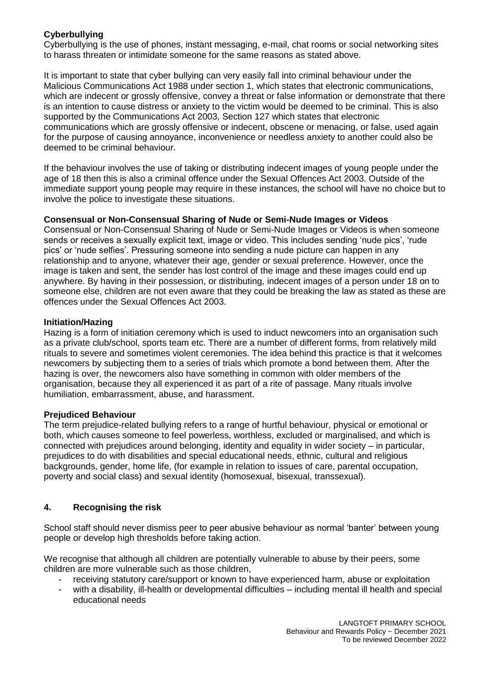## **Cyberbullying**

Cyberbullying is the use of phones, instant messaging, e-mail, chat rooms or social networking sites to harass threaten or intimidate someone for the same reasons as stated above.

It is important to state that cyber bullying can very easily fall into criminal behaviour under the Malicious Communications Act 1988 under section 1, which states that electronic communications, which are indecent or grossly offensive, convey a threat or false information or demonstrate that there is an intention to cause distress or anxiety to the victim would be deemed to be criminal. This is also supported by the Communications Act 2003, Section 127 which states that electronic communications which are grossly offensive or indecent, obscene or menacing, or false, used again for the purpose of causing annoyance, inconvenience or needless anxiety to another could also be deemed to be criminal behaviour.

If the behaviour involves the use of taking or distributing indecent images of young people under the age of 18 then this is also a criminal offence under the Sexual Offences Act 2003. Outside of the immediate support young people may require in these instances, the school will have no choice but to involve the police to investigate these situations.

#### **Consensual or Non-Consensual Sharing of Nude or Semi-Nude Images or Videos**

Consensual or Non-Consensual Sharing of Nude or Semi-Nude Images or Videos is when someone sends or receives a sexually explicit text, image or video. This includes sending 'nude pics', 'rude pics' or 'nude selfies'. Pressuring someone into sending a nude picture can happen in any relationship and to anyone, whatever their age, gender or sexual preference. However, once the image is taken and sent, the sender has lost control of the image and these images could end up anywhere. By having in their possession, or distributing, indecent images of a person under 18 on to someone else, children are not even aware that they could be breaking the law as stated as these are offences under the Sexual Offences Act 2003.

#### **Initiation/Hazing**

Hazing is a form of initiation ceremony which is used to induct newcomers into an organisation such as a private club/school, sports team etc. There are a number of different forms, from relatively mild rituals to severe and sometimes violent ceremonies. The idea behind this practice is that it welcomes newcomers by subjecting them to a series of trials which promote a bond between them. After the hazing is over, the newcomers also have something in common with older members of the organisation, because they all experienced it as part of a rite of passage. Many rituals involve humiliation, embarrassment, abuse, and harassment.

### **Prejudiced Behaviour**

The term prejudice-related bullying refers to a range of hurtful behaviour, physical or emotional or both, which causes someone to feel powerless, worthless, excluded or marginalised, and which is connected with prejudices around belonging, identity and equality in wider society – in particular, prejudices to do with disabilities and special educational needs, ethnic, cultural and religious backgrounds, gender, home life, (for example in relation to issues of care, parental occupation, poverty and social class) and sexual identity (homosexual, bisexual, transsexual).

### **4. Recognising the risk**

School staff should never dismiss peer to peer abusive behaviour as normal 'banter' between young people or develop high thresholds before taking action.

We recognise that although all children are potentially vulnerable to abuse by their peers, some children are more vulnerable such as those children,

- receiving statutory care/support or known to have experienced harm, abuse or exploitation
- with a disability, ill-health or developmental difficulties including mental ill health and special educational needs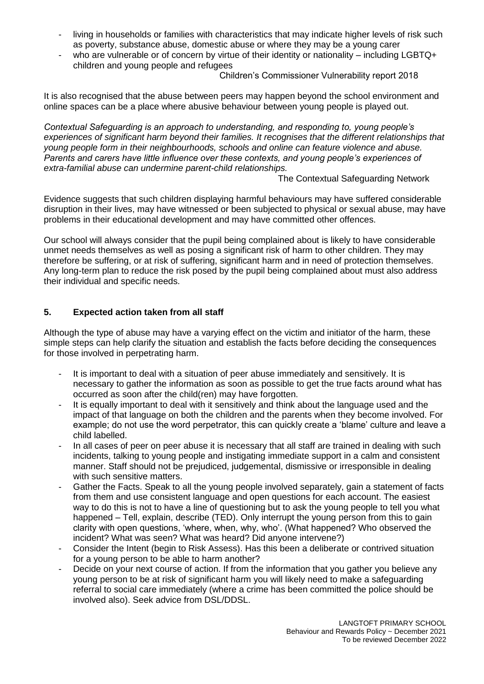- living in households or families with characteristics that may indicate higher levels of risk such as poverty, substance abuse, domestic abuse or where they may be a young carer
- who are vulnerable or of concern by virtue of their identity or nationality including LGBTQ+ children and young people and refugees

Children's Commissioner Vulnerability report 2018

It is also recognised that the abuse between peers may happen beyond the school environment and online spaces can be a place where abusive behaviour between young people is played out.

*Contextual Safeguarding is an approach to understanding, and responding to, young people's experiences of significant harm beyond their families. It recognises that the different relationships that young people form in their neighbourhoods, schools and online can feature violence and abuse. Parents and carers have little influence over these contexts, and young people's experiences of extra-familial abuse can undermine parent-child relationships.*

The Contextual Safeguarding Network

Evidence suggests that such children displaying harmful behaviours may have suffered considerable disruption in their lives, may have witnessed or been subjected to physical or sexual abuse, may have problems in their educational development and may have committed other offences.

Our school will always consider that the pupil being complained about is likely to have considerable unmet needs themselves as well as posing a significant risk of harm to other children. They may therefore be suffering, or at risk of suffering, significant harm and in need of protection themselves. Any long-term plan to reduce the risk posed by the pupil being complained about must also address their individual and specific needs.

## **5. Expected action taken from all staff**

Although the type of abuse may have a varying effect on the victim and initiator of the harm, these simple steps can help clarify the situation and establish the facts before deciding the consequences for those involved in perpetrating harm.

- It is important to deal with a situation of peer abuse immediately and sensitively. It is necessary to gather the information as soon as possible to get the true facts around what has occurred as soon after the child(ren) may have forgotten.
- It is equally important to deal with it sensitively and think about the language used and the impact of that language on both the children and the parents when they become involved. For example; do not use the word perpetrator, this can quickly create a 'blame' culture and leave a child labelled.
- In all cases of peer on peer abuse it is necessary that all staff are trained in dealing with such incidents, talking to young people and instigating immediate support in a calm and consistent manner. Staff should not be prejudiced, judgemental, dismissive or irresponsible in dealing with such sensitive matters.
- Gather the Facts. Speak to all the young people involved separately, gain a statement of facts from them and use consistent language and open questions for each account. The easiest way to do this is not to have a line of questioning but to ask the young people to tell you what happened – Tell, explain, describe (TED). Only interrupt the young person from this to gain clarity with open questions, 'where, when, why, who'. (What happened? Who observed the incident? What was seen? What was heard? Did anyone intervene?)
- Consider the Intent (begin to Risk Assess). Has this been a deliberate or contrived situation for a young person to be able to harm another?
- Decide on your next course of action. If from the information that you gather you believe any young person to be at risk of significant harm you will likely need to make a safeguarding referral to social care immediately (where a crime has been committed the police should be involved also). Seek advice from DSL/DDSL.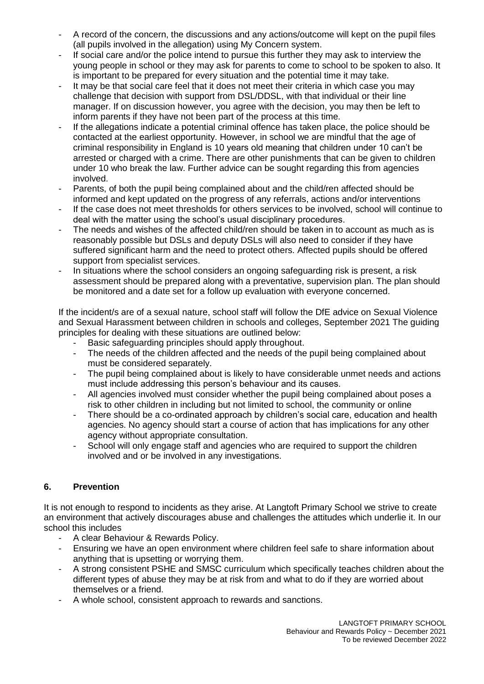- A record of the concern, the discussions and any actions/outcome will kept on the pupil files (all pupils involved in the allegation) using My Concern system.
- If social care and/or the police intend to pursue this further they may ask to interview the young people in school or they may ask for parents to come to school to be spoken to also. It is important to be prepared for every situation and the potential time it may take.
- It may be that social care feel that it does not meet their criteria in which case you may challenge that decision with support from DSL/DDSL, with that individual or their line manager. If on discussion however, you agree with the decision, you may then be left to inform parents if they have not been part of the process at this time.
- If the allegations indicate a potential criminal offence has taken place, the police should be contacted at the earliest opportunity. However, in school we are mindful that the age of criminal responsibility in England is 10 years old meaning that children under 10 can't be arrested or charged with a crime. There are other punishments that can be given to children under 10 who break the law. Further advice can be sought regarding this from agencies involved.
- Parents, of both the pupil being complained about and the child/ren affected should be informed and kept updated on the progress of any referrals, actions and/or interventions
- If the case does not meet thresholds for others services to be involved, school will continue to deal with the matter using the school's usual disciplinary procedures.
- The needs and wishes of the affected child/ren should be taken in to account as much as is reasonably possible but DSLs and deputy DSLs will also need to consider if they have suffered significant harm and the need to protect others. Affected pupils should be offered support from specialist services.
- In situations where the school considers an ongoing safeguarding risk is present, a risk assessment should be prepared along with a preventative, supervision plan. The plan should be monitored and a date set for a follow up evaluation with everyone concerned.

If the incident/s are of a sexual nature, school staff will follow the DfE advice on Sexual Violence and Sexual Harassment between children in schools and colleges, September 2021 The guiding principles for dealing with these situations are outlined below:

- Basic safeguarding principles should apply throughout.
- The needs of the children affected and the needs of the pupil being complained about must be considered separately.
- The pupil being complained about is likely to have considerable unmet needs and actions must include addressing this person's behaviour and its causes.
- All agencies involved must consider whether the pupil being complained about poses a risk to other children in including but not limited to school, the community or online
- There should be a co-ordinated approach by children's social care, education and health agencies. No agency should start a course of action that has implications for any other agency without appropriate consultation.
- School will only engage staff and agencies who are required to support the children involved and or be involved in any investigations.

## **6. Prevention**

It is not enough to respond to incidents as they arise. At Langtoft Primary School we strive to create an environment that actively discourages abuse and challenges the attitudes which underlie it. In our school this includes

- A clear Behaviour & Rewards Policy.
- Ensuring we have an open environment where children feel safe to share information about anything that is upsetting or worrying them.
- A strong consistent PSHE and SMSC curriculum which specifically teaches children about the different types of abuse they may be at risk from and what to do if they are worried about themselves or a friend.
- A whole school, consistent approach to rewards and sanctions.